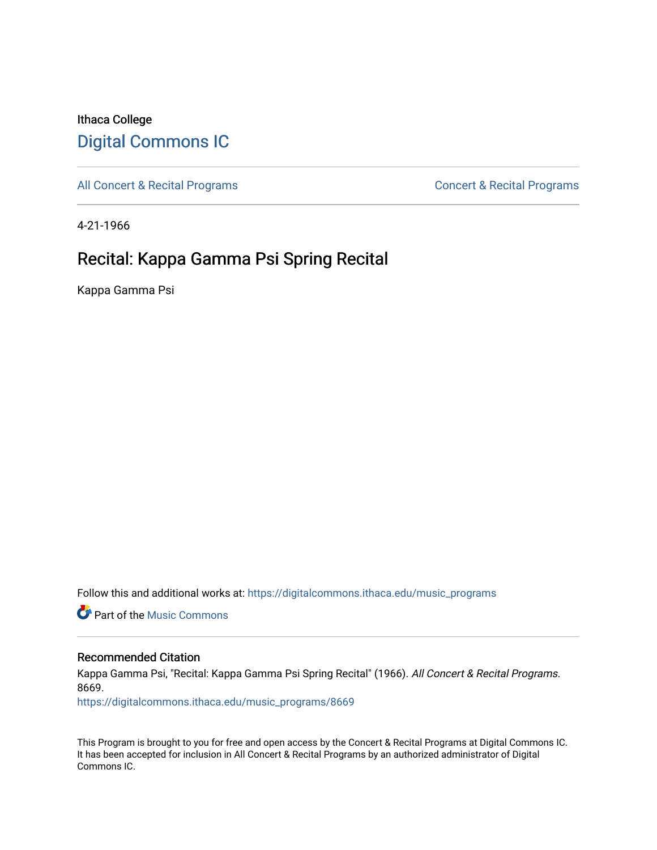## Ithaca College [Digital Commons IC](https://digitalcommons.ithaca.edu/)

[All Concert & Recital Programs](https://digitalcommons.ithaca.edu/music_programs) **Concert & Recital Programs** Concert & Recital Programs

4-21-1966

# Recital: Kappa Gamma Psi Spring Recital

Kappa Gamma Psi

Follow this and additional works at: [https://digitalcommons.ithaca.edu/music\\_programs](https://digitalcommons.ithaca.edu/music_programs?utm_source=digitalcommons.ithaca.edu%2Fmusic_programs%2F8669&utm_medium=PDF&utm_campaign=PDFCoverPages) 

**C** Part of the Music Commons

#### Recommended Citation

Kappa Gamma Psi, "Recital: Kappa Gamma Psi Spring Recital" (1966). All Concert & Recital Programs. 8669.

[https://digitalcommons.ithaca.edu/music\\_programs/8669](https://digitalcommons.ithaca.edu/music_programs/8669?utm_source=digitalcommons.ithaca.edu%2Fmusic_programs%2F8669&utm_medium=PDF&utm_campaign=PDFCoverPages) 

This Program is brought to you for free and open access by the Concert & Recital Programs at Digital Commons IC. It has been accepted for inclusion in All Concert & Recital Programs by an authorized administrator of Digital Commons IC.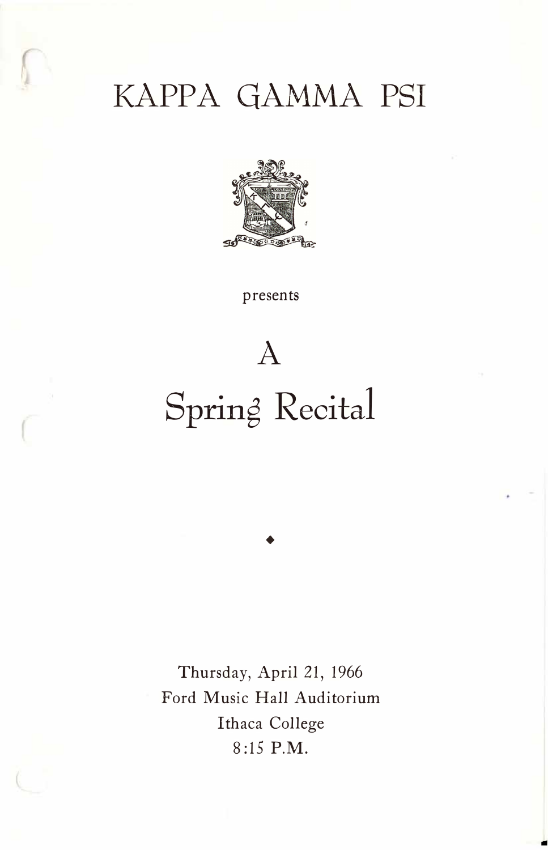# KAPPA GAMMA PSI



presents

# Spring Recital

♦

A

Thursday, April 21, 1966 Ford Music Hall Auditorium Ithaca College 8:15 P.M.

..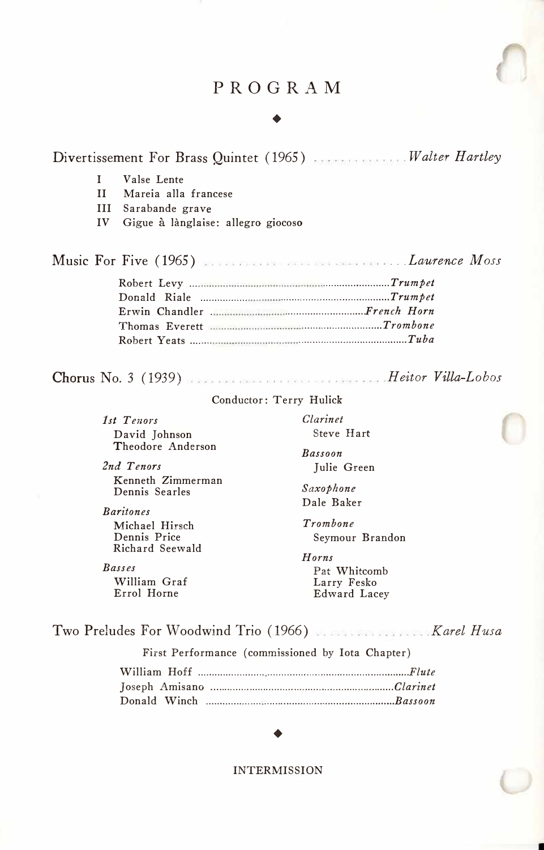#### PROGRAM

#### ♦

Divertissement For Brass Quintet ( 1965) *Walter Hartley* 

- I Valse Lente
- II Mareia alla francese

III Sarabande grave

IV Gigue à lànglaise: allegro giocoso

Music For Five (1965) ... *Laurene Mass*  Robert Levy .... *........................ Trumpet*  Donald Riale ................ . *. ...................................... Trumpet*  Erwin Chandler . *. ............................ French Horn*  Thomas Everett *. ............................ Trombone*  Robert Yeats ....... . *....................................... Tuba* 

Chorus No. *3* (1939) *H eitor Villa-Lobos* 

#### Conductor: Terry Hulick

| 1st Tenors                          | Clarinet                                                      |
|-------------------------------------|---------------------------------------------------------------|
| David Johnson                       | Steve Hart                                                    |
| Theodore Anderson                   | <b>Bassoon</b>                                                |
| 2nd Tenors                          | Julie Green                                                   |
| Kenneth Zimmerman<br>Dennis Searles | Saxophone<br>Dale Baker                                       |
| <b>Baritones</b>                    |                                                               |
| Michael Hirsch                      | Trombone                                                      |
| Dennis Price                        | Seymour Brandon                                               |
| Richard Seewald                     | Horns                                                         |
| <b>Basses</b>                       | Pat Whitcomb                                                  |
| William Graf                        | Larry Fesko                                                   |
| Errol Horne                         | Edward Lacey                                                  |
|                                     |                                                               |
|                                     | Two Preludes For Woodwind Trio (1966) Manuscriptus Rarel Husa |

First Performance (commissioned by Iota Chapter)

#### ♦

INTERMISSION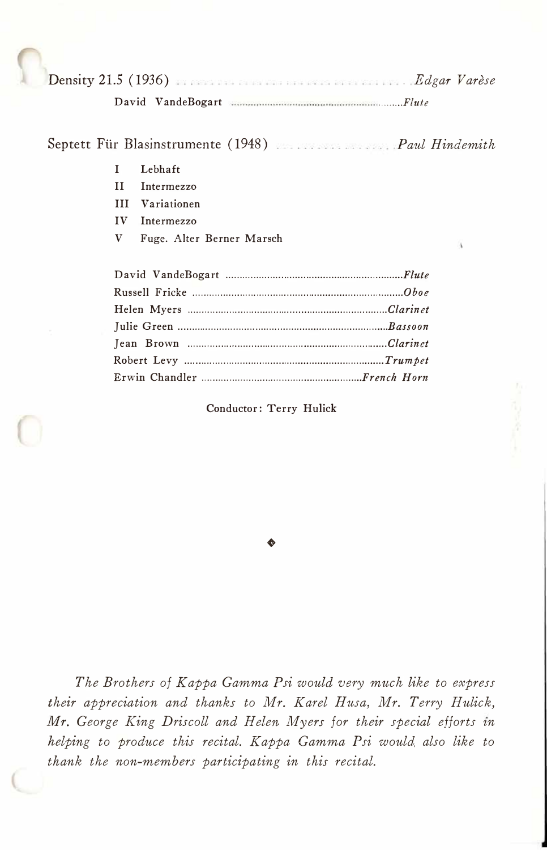Densi*t*y 21.5 ( 1936) *. Edgar Varese David VandeBogart ......... Flute* 

#### Sep*t*et*t F*tir Blasins*t*rumen*t*e ( 1948) *Paul Hindemith*

- *I Lebhaft*
- *II Intermezzo*
- *III Variationen*
- *IV Intermezzo*
- *V Fuge. Alter Berner Marsch*

*Conductor: Terry Hulick* 

♦

*The Brothers of Kappa Gamma Psi would very much like to express their appreciation and thanks to Mr. Karel Husa, Mr. Terry Hulick, Mr. George King Driscoll and Helen Myers for their special efforts in helping to produce this recital. Kappa Gamma Psi would also like to thank the non-members participating in this recital.*